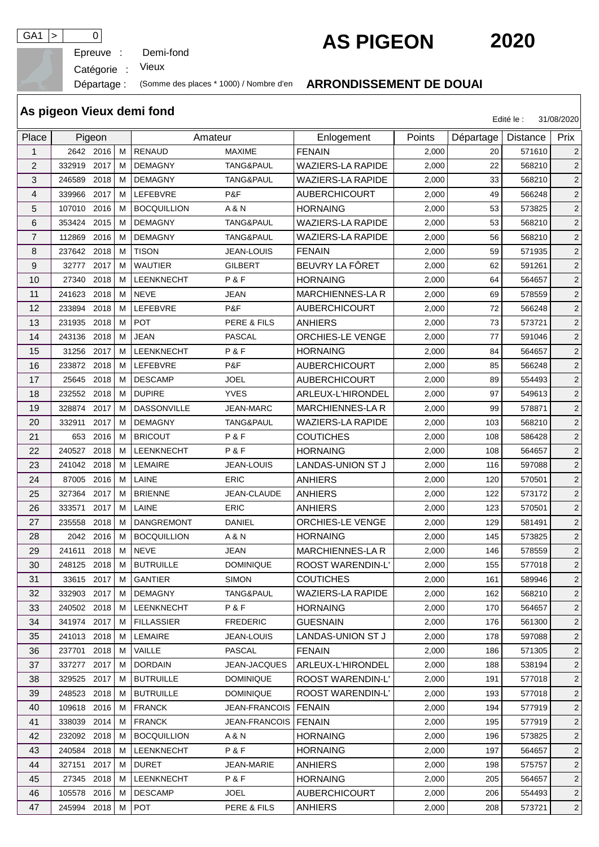Epreuve :

GA1 > 0<br>
Epreuve : Demi-fond **AS PIGEON**2020

Catégorie : Vieux

## Départage : (Somme des places \* 1000) / Nombre d'en **ARRONDISSEMENT DE DOUAI**

| As pigeon Vieux demi fond<br>31/08/2020<br>Edité le : |             |      |   |                    |                      |                          |        |           |                 |                |  |  |
|-------------------------------------------------------|-------------|------|---|--------------------|----------------------|--------------------------|--------|-----------|-----------------|----------------|--|--|
| Place                                                 | Pigeon      |      |   | Amateur            |                      | Enlogement               | Points | Départage | <b>Distance</b> | Prix           |  |  |
| $\mathbf{1}$                                          | 2642 2016   |      | м | <b>RENAUD</b>      | <b>MAXIME</b>        | <b>FENAIN</b>            | 2,000  | 20        | 571610          | 2              |  |  |
| $\overline{2}$                                        | 332919      | 2017 | м | <b>DEMAGNY</b>     | TANG&PAUL            | <b>WAZIERS-LA RAPIDE</b> | 2,000  | 22        | 568210          | 2              |  |  |
| 3                                                     | 246589      | 2018 | м | <b>DEMAGNY</b>     | TANG&PAUL            | <b>WAZIERS-LA RAPIDE</b> | 2,000  | 33        | 568210          | $\overline{2}$ |  |  |
| $\overline{4}$                                        | 339966      | 2017 | м | <b>LEFEBVRE</b>    | P&F                  | <b>AUBERCHICOURT</b>     | 2,000  | 49        | 566248          | $\overline{c}$ |  |  |
| 5                                                     | 107010      | 2016 | м | <b>BOCQUILLION</b> | A & N                | <b>HORNAING</b>          | 2,000  | 53        | 573825          | $\overline{2}$ |  |  |
| 6                                                     | 353424      | 2015 | м | <b>DEMAGNY</b>     | TANG&PAUL            | <b>WAZIERS-LA RAPIDE</b> | 2,000  | 53        | 568210          | $\overline{c}$ |  |  |
| 7                                                     | 112869      | 2016 | м | <b>DEMAGNY</b>     | TANG&PAUL            | WAZIERS-LA RAPIDE        | 2,000  | 56        | 568210          | $\overline{2}$ |  |  |
| 8                                                     | 237642      | 2018 | м | <b>TISON</b>       | <b>JEAN-LOUIS</b>    | <b>FENAIN</b>            | 2,000  | 59        | 571935          | $\overline{c}$ |  |  |
| 9                                                     | 32777       | 2017 | M | <b>WAUTIER</b>     | <b>GILBERT</b>       | BEUVRY LA FÔRET          | 2,000  | 62        | 591261          | $\mathbf 2$    |  |  |
| 10                                                    | 27340       | 2018 | м | <b>LEENKNECHT</b>  | P&F                  | <b>HORNAING</b>          | 2,000  | 64        | 564657          | 2              |  |  |
| 11                                                    | 241623      | 2018 | M | <b>NEVE</b>        | <b>JEAN</b>          | MARCHIENNES-LA R         | 2,000  | 69        | 578559          | $\overline{c}$ |  |  |
| 12                                                    | 233894      | 2018 | м | LEFEBVRE           | P&F                  | <b>AUBERCHICOURT</b>     | 2,000  | 72        | 566248          | $\overline{c}$ |  |  |
| 13                                                    | 231935      | 2018 | м | <b>POT</b>         | PERE & FILS          | <b>ANHIERS</b>           | 2,000  | 73        | 573721          | $\overline{c}$ |  |  |
| 14                                                    | 243136      | 2018 | м | <b>JEAN</b>        | <b>PASCAL</b>        | ORCHIES-LE VENGE         | 2,000  | 77        | 591046          | $\overline{2}$ |  |  |
| 15                                                    | 31256       | 2017 | м | <b>LEENKNECHT</b>  | P&F                  | <b>HORNAING</b>          | 2,000  | 84        | 564657          | $\overline{c}$ |  |  |
| 16                                                    | 233872      | 2018 | м | LEFEBVRE           | P&F                  | <b>AUBERCHICOURT</b>     | 2,000  | 85        | 566248          | $\overline{2}$ |  |  |
| 17                                                    | 25645       | 2018 | м | <b>DESCAMP</b>     | <b>JOEL</b>          | <b>AUBERCHICOURT</b>     | 2,000  | 89        | 554493          | $\overline{c}$ |  |  |
| 18                                                    | 232552      | 2018 | м | <b>DUPIRE</b>      | <b>YVES</b>          | ARLEUX-L'HIRONDEL        | 2,000  | 97        | 549613          | $\overline{c}$ |  |  |
| 19                                                    | 328874      | 2017 | м | <b>DASSONVILLE</b> | <b>JEAN-MARC</b>     | MARCHIENNES-LA R         | 2,000  | 99        | 578871          | $\overline{c}$ |  |  |
| 20                                                    | 332911      | 2017 | M | <b>DEMAGNY</b>     | TANG&PAUL            | <b>WAZIERS-LA RAPIDE</b> | 2,000  | 103       | 568210          | 2              |  |  |
| 21                                                    | 653         | 2016 | м | <b>BRICOUT</b>     | P&F                  | <b>COUTICHES</b>         | 2,000  | 108       | 586428          | 2              |  |  |
| 22                                                    | 240527      | 2018 | м | LEENKNECHT         | P&F                  | <b>HORNAING</b>          | 2,000  | 108       | 564657          | $\overline{2}$ |  |  |
| 23                                                    | 241042 2018 |      | м | LEMAIRE            | <b>JEAN-LOUIS</b>    | LANDAS-UNION ST J        | 2,000  | 116       | 597088          | $\overline{2}$ |  |  |
| 24                                                    | 87005       | 2016 | м | LAINE              | <b>ERIC</b>          | <b>ANHIERS</b>           | 2,000  | 120       | 570501          | $\overline{c}$ |  |  |
| 25                                                    | 327364      | 2017 | м | <b>BRIENNE</b>     | JEAN-CLAUDE          | <b>ANHIERS</b>           | 2,000  | 122       | 573172          | $\overline{c}$ |  |  |
| 26                                                    | 333571      | 2017 | м | LAINE              | <b>ERIC</b>          | <b>ANHIERS</b>           | 2,000  | 123       | 570501          | $\overline{2}$ |  |  |
| 27                                                    | 235558      | 2018 | м | <b>DANGREMONT</b>  | <b>DANIEL</b>        | <b>ORCHIES-LE VENGE</b>  | 2,000  | 129       | 581491          | $\overline{2}$ |  |  |
| 28                                                    | 2042        | 2016 | м | <b>BOCQUILLION</b> | A & N                | <b>HORNAING</b>          | 2,000  | 145       | 573825          | $\overline{c}$ |  |  |
| 29                                                    | 241611      | 2018 | М | <b>NEVE</b>        | <b>JEAN</b>          | MARCHIENNES-LA R         | 2,000  | 146       | 578559          | $\overline{2}$ |  |  |
| 30                                                    | 248125 2018 |      |   | M   BUTRUILLE      | <b>DOMINIQUE</b>     | ROOST WARENDIN-L'        | 2,000  | 155       | 577018          | 2              |  |  |
| 31                                                    | 33615 2017  |      | M | <b>GANTIER</b>     | <b>SIMON</b>         | <b>COUTICHES</b>         | 2,000  | 161       | 589946          | 2              |  |  |
| 32                                                    | 332903 2017 |      | M | <b>DEMAGNY</b>     | TANG&PAUL            | WAZIERS-LA RAPIDE        | 2,000  | 162       | 568210          | 2              |  |  |
| 33                                                    | 240502 2018 |      | м | LEENKNECHT         | P&F                  | <b>HORNAING</b>          | 2,000  | 170       | 564657          | $\overline{2}$ |  |  |
| 34                                                    | 341974 2017 |      | M | <b>FILLASSIER</b>  | <b>FREDERIC</b>      | <b>GUESNAIN</b>          | 2,000  | 176       | 561300          | $\overline{2}$ |  |  |
| 35                                                    | 241013 2018 |      | M | LEMAIRE            | JEAN-LOUIS           | LANDAS-UNION ST J        | 2,000  | 178       | 597088          | 2 <sup>1</sup> |  |  |
| 36                                                    | 237701      | 2018 | м | VAILLE             | PASCAL               | <b>FENAIN</b>            | 2,000  | 186       | 571305          | $\overline{2}$ |  |  |
| 37                                                    | 337277 2017 |      | м | <b>DORDAIN</b>     | JEAN-JACQUES         | ARLEUX-L'HIRONDEL        | 2,000  | 188       | 538194          | 2              |  |  |
| 38                                                    | 329525      | 2017 | M | <b>BUTRUILLE</b>   | <b>DOMINIQUE</b>     | ROOST WARENDIN-L'        | 2,000  | 191       | 577018          | $\overline{2}$ |  |  |
| 39                                                    | 248523      | 2018 | M | <b>BUTRUILLE</b>   | <b>DOMINIQUE</b>     | ROOST WARENDIN-L'        | 2,000  | 193       | 577018          | $\overline{2}$ |  |  |
| 40                                                    | 109618 2016 |      | M | <b>FRANCK</b>      | JEAN-FRANCOIS        | FENAIN                   | 2,000  | 194       | 577919          | $\overline{2}$ |  |  |
| 41                                                    | 338039 2014 |      | М | <b>FRANCK</b>      | <b>JEAN-FRANCOIS</b> | <b>FENAIN</b>            | 2,000  | 195       | 577919          | 2              |  |  |
| 42                                                    | 232092 2018 |      | M | <b>BOCQUILLION</b> | A & N                | <b>HORNAING</b>          | 2,000  | 196       | 573825          | $\overline{c}$ |  |  |
| 43                                                    | 240584 2018 |      | M | <b>LEENKNECHT</b>  | P&F                  | <b>HORNAING</b>          | 2,000  | 197       | 564657          | $\overline{2}$ |  |  |
| 44                                                    | 327151      | 2017 | м | <b>DURET</b>       | JEAN-MARIE           | <b>ANHIERS</b>           | 2,000  | 198       | 575757          | $\overline{2}$ |  |  |
| 45                                                    | 27345 2018  |      | M | <b>LEENKNECHT</b>  | P&F                  | <b>HORNAING</b>          | 2,000  | 205       | 564657          | $\overline{2}$ |  |  |
| 46                                                    | 105578 2016 |      | M | <b>DESCAMP</b>     | <b>JOEL</b>          | <b>AUBERCHICOURT</b>     | 2,000  | 206       | 554493          | $\overline{2}$ |  |  |
| 47                                                    | 245994 2018 |      | M | POT                | PERE & FILS          | ANHIERS                  | 2,000  | 208       | 573721          | $\overline{2}$ |  |  |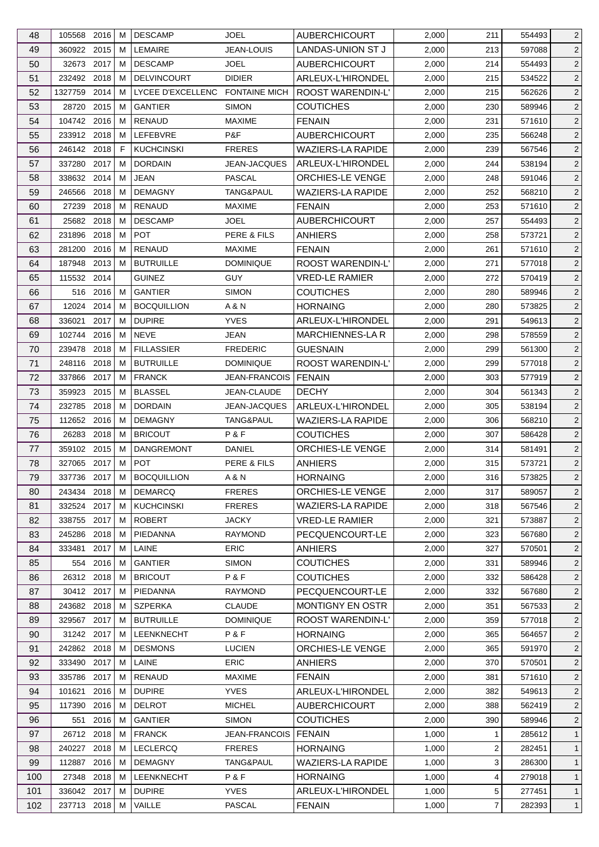| 48  | 105568 2016          |      | M      | <b>DESCAMP</b>                  | <b>JOEL</b>          | <b>AUBERCHICOURT</b>                         | 2,000          | 211                     | 554493           | $\overline{2}$      |
|-----|----------------------|------|--------|---------------------------------|----------------------|----------------------------------------------|----------------|-------------------------|------------------|---------------------|
| 49  | 360922 2015          |      | м      | LEMAIRE                         | JEAN-LOUIS           | LANDAS-UNION ST J                            | 2,000          | 213                     | 597088           | $\overline{2}$      |
| 50  | 32673 2017           |      | М      | <b>DESCAMP</b>                  | <b>JOEL</b>          | <b>AUBERCHICOURT</b>                         | 2,000          | 214                     | 554493           | $\overline{2}$      |
| 51  | 232492 2018          |      | м      | <b>DELVINCOURT</b>              | <b>DIDIER</b>        | ARLEUX-L'HIRONDEL                            | 2,000          | 215                     | 534522           | $\overline{2}$      |
| 52  | 1327759 2014         |      | M      | LYCEE D'EXCELLENC FONTAINE MICH |                      | ROOST WARENDIN-L'                            | 2,000          | 215                     | 562626           | $\overline{2}$      |
| 53  | 28720 2015           |      | М      | <b>GANTIER</b>                  | <b>SIMON</b>         | <b>COUTICHES</b>                             | 2,000          | 230                     | 589946           | $\overline{c}$      |
| 54  | 104742 2016          |      | м      | <b>RENAUD</b>                   | <b>MAXIME</b>        | <b>FENAIN</b>                                | 2,000          | 231                     | 571610           | $\overline{c}$      |
| 55  | 233912 2018          |      | м      | LEFEBVRE                        | P&F                  | <b>AUBERCHICOURT</b>                         | 2,000          | 235                     | 566248           | $\overline{2}$      |
| 56  | 246142 2018          |      | F      | <b>KUCHCINSKI</b>               | <b>FRERES</b>        | <b>WAZIERS-LA RAPIDE</b>                     | 2,000          | 239                     | 567546           | $\overline{c}$      |
| 57  | 337280               | 2017 | м      | <b>DORDAIN</b>                  | JEAN-JACQUES         | ARLEUX-L'HIRONDEL                            | 2,000          | 244                     | 538194           | $\overline{2}$      |
| 58  | 338632               | 2014 | м      | <b>JEAN</b>                     | <b>PASCAL</b>        | ORCHIES-LE VENGE                             | 2,000          | 248                     | 591046           | $\overline{c}$      |
| 59  | 246566 2018          |      | м      | <b>DEMAGNY</b>                  | TANG&PAUL            | <b>WAZIERS-LA RAPIDE</b>                     | 2,000          | 252                     | 568210           | $\overline{2}$      |
| 60  | 27239 2018           |      | м      | <b>RENAUD</b>                   | <b>MAXIME</b>        | <b>FENAIN</b>                                | 2,000          | 253                     | 571610           | $\sqrt{2}$          |
| 61  | 25682 2018           |      | м      | <b>DESCAMP</b>                  | <b>JOEL</b>          | <b>AUBERCHICOURT</b>                         | 2,000          | 257                     | 554493           | $\overline{2}$      |
| 62  | 231896               | 2018 | м      | <b>POT</b>                      | PERE & FILS          | <b>ANHIERS</b>                               | 2,000          | 258                     | 573721           | $\overline{2}$      |
| 63  | 281200 2016          |      | м      | RENAUD                          | <b>MAXIME</b>        | <b>FENAIN</b>                                | 2,000          | 261                     | 571610           | $\overline{c}$      |
| 64  | 187948               | 2013 | M      | <b>BUTRUILLE</b>                | <b>DOMINIQUE</b>     | ROOST WARENDIN-L'                            | 2,000          | 271                     | 577018           | $\overline{c}$      |
| 65  | 115532 2014          |      |        | <b>GUINEZ</b>                   | <b>GUY</b>           | <b>VRED-LE RAMIER</b>                        | 2,000          | 272                     | 570419           | 2                   |
| 66  | 516 2016             |      | М      | <b>GANTIER</b>                  | <b>SIMON</b>         | <b>COUTICHES</b>                             | 2,000          | 280                     | 589946           | $\overline{2}$      |
| 67  | 12024                | 2014 | м      | <b>BOCQUILLION</b>              | A & N                | <b>HORNAING</b>                              | 2,000          | 280                     | 573825           | 2                   |
| 68  | 336021               | 2017 | м      | <b>DUPIRE</b>                   | <b>YVES</b>          | ARLEUX-L'HIRONDEL                            | 2,000          | 291                     | 549613           | $\overline{2}$      |
| 69  | 102744               | 2016 | M      | <b>NEVE</b>                     | <b>JEAN</b>          | <b>MARCHIENNES-LAR</b>                       | 2,000          | 298                     | 578559           | $\overline{c}$      |
| 70  | 239478 2018          |      | м      | <b>FILLASSIER</b>               | <b>FREDERIC</b>      | <b>GUESNAIN</b>                              | 2,000          | 299                     | 561300           | $\overline{c}$      |
| 71  | 248116 2018          |      | м      | <b>BUTRUILLE</b>                | <b>DOMINIQUE</b>     | ROOST WARENDIN-L'                            | 2,000          | 299                     | 577018           | $\overline{c}$      |
| 72  | 337866               | 2017 | м      | <b>FRANCK</b>                   | <b>JEAN-FRANCOIS</b> | FENAIN                                       | 2,000          | 303                     | 577919           | $\overline{2}$      |
| 73  | 359923               | 2015 | м      | <b>BLASSEL</b>                  | JEAN-CLAUDE          | <b>DECHY</b>                                 | 2,000          | 304                     |                  | $\overline{2}$      |
|     | 232785 2018          |      |        | <b>DORDAIN</b>                  | JEAN-JACQUES         |                                              |                |                         | 561343           |                     |
| 74  | 112652 2016          |      | м<br>м | <b>DEMAGNY</b>                  |                      | ARLEUX-L'HIRONDEL                            | 2,000<br>2,000 | 305<br>306              | 538194           | $\overline{c}$      |
| 75  |                      | 2018 |        | <b>BRICOUT</b>                  | TANG&PAUL<br>P&F     | <b>WAZIERS-LA RAPIDE</b><br><b>COUTICHES</b> |                |                         | 568210           | $\overline{2}$<br>2 |
| 76  | 26283<br>359102 2015 |      | м<br>M | <b>DANGREMONT</b>               | <b>DANIEL</b>        | ORCHIES-LE VENGE                             | 2,000          | 307                     | 586428<br>581491 |                     |
| 77  |                      |      |        | POT                             |                      |                                              | 2,000          | 314                     |                  | $\overline{2}$      |
| 78  | 327065 2017          |      | M      |                                 | PERE & FILS          | <b>ANHIERS</b>                               | 2,000          | 315                     | 573721           | $\overline{c}$      |
| 79  | 337736 2017          |      | M      | <b>BOCQUILLION</b>              | A & N                | <b>HORNAING</b>                              | 2,000          | 316                     | 573825           | $\overline{2}$      |
| 80  | 243434 2018          |      | М      | <b>DEMARCQ</b>                  | <b>FRERES</b>        | ORCHIES-LE VENGE                             | 2,000          | 317                     | 589057           | $\overline{2}$      |
| 81  | 332524 2017          |      | м      | <b>KUCHCINSKI</b>               | <b>FRERES</b>        | <b>WAZIERS-LA RAPIDE</b>                     | 2,000          | 318                     | 567546           | $\overline{2}$      |
| 82  | 338755 2017          |      | м      | <b>ROBERT</b>                   | <b>JACKY</b>         | <b>VRED-LE RAMIER</b>                        | 2,000          | 321                     | 573887           | $\overline{2}$      |
| 83  | 245286               | 2018 | м      | <b>PIEDANNA</b>                 | <b>RAYMOND</b>       | PECQUENCOURT-LE                              | 2,000          | 323                     | 567680           | 2                   |
| 84  | 333481               | 2017 | м      | LAINE                           | <b>ERIC</b>          | <b>ANHIERS</b>                               | 2,000          | 327                     | 570501           | $\overline{2}$      |
| 85  | 554 2016             |      | м      | <b>GANTIER</b>                  | <b>SIMON</b>         | <b>COUTICHES</b>                             | 2,000          | 331                     | 589946           | $\overline{2}$      |
| 86  | 26312 2018           |      | м      | <b>BRICOUT</b>                  | P&F                  | <b>COUTICHES</b>                             | 2,000          | 332                     | 586428           | $\overline{2}$      |
| 87  | 30412 2017           |      | м      | PIEDANNA                        | <b>RAYMOND</b>       | PECQUENCOURT-LE                              | 2,000          | 332                     | 567680           | $\overline{2}$      |
| 88  | 243682 2018          |      | м      | <b>SZPERKA</b>                  | <b>CLAUDE</b>        | <b>MONTIGNY EN OSTR</b>                      | 2,000          | 351                     | 567533           | $\overline{2}$      |
| 89  | 329567 2017          |      | M      | <b>BUTRUILLE</b>                | <b>DOMINIQUE</b>     | ROOST WARENDIN-L'                            | 2,000          | 359                     | 577018           | 2                   |
| 90  | 31242 2017           |      | м      | LEENKNECHT                      | P&F                  | <b>HORNAING</b>                              | 2,000          | 365                     | 564657           | $\overline{2}$      |
| 91  | 242862               | 2018 | м      | <b>DESMONS</b>                  | <b>LUCIEN</b>        | <b>ORCHIES-LE VENGE</b>                      | 2,000          | 365                     | 591970           | $\overline{2}$      |
| 92  | 333490 2017          |      | M      | LAINE                           | <b>ERIC</b>          | <b>ANHIERS</b>                               | 2,000          | 370                     | 570501           | $\overline{2}$      |
| 93  | 335786 2017          |      | м      | RENAUD                          | MAXIME               | <b>FENAIN</b>                                | 2,000          | 381                     | 571610           | $\overline{2}$      |
| 94  | 101621               | 2016 | M      | <b>DUPIRE</b>                   | <b>YVES</b>          | ARLEUX-L'HIRONDEL                            | 2,000          | 382                     | 549613           | 2                   |
| 95  | 117390 2016          |      | M      | <b>DELROT</b>                   | <b>MICHEL</b>        | <b>AUBERCHICOURT</b>                         | 2,000          | 388                     | 562419           | $\overline{2}$      |
| 96  | 551                  | 2016 | M      | <b>GANTIER</b>                  | <b>SIMON</b>         | <b>COUTICHES</b>                             | 2,000          | 390                     | 589946           | $\overline{2}$      |
| 97  | 26712 2018           |      | М      | <b>FRANCK</b>                   | <b>JEAN-FRANCOIS</b> | FENAIN                                       | 1,000          | 1                       | 285612           | $\mathbf{1}$        |
| 98  | 240227               | 2018 | м      | <b>LECLERCQ</b>                 | <b>FRERES</b>        | HORNAING                                     | 1,000          | $\overline{\mathbf{c}}$ | 282451           | $\mathbf{1}$        |
| 99  | 112887               | 2016 | м      | <b>DEMAGNY</b>                  | TANG&PAUL            | <b>WAZIERS-LA RAPIDE</b>                     | 1,000          | 3                       | 286300           | $\mathbf{1}$        |
| 100 | 27348 2018           |      | М      | <b>LEENKNECHT</b>               | P&F                  | <b>HORNAING</b>                              | 1,000          | 4                       | 279018           | $\mathbf{1}$        |
| 101 | 336042 2017          |      | м      | <b>DUPIRE</b>                   | <b>YVES</b>          | ARLEUX-L'HIRONDEL                            | 1,000          | 5                       | 277451           | $\mathbf{1}$        |
| 102 | 237713 2018          |      | M      | VAILLE                          | <b>PASCAL</b>        | <b>FENAIN</b>                                | 1,000          | $\overline{7}$          | 282393           | $\mathbf{1}$        |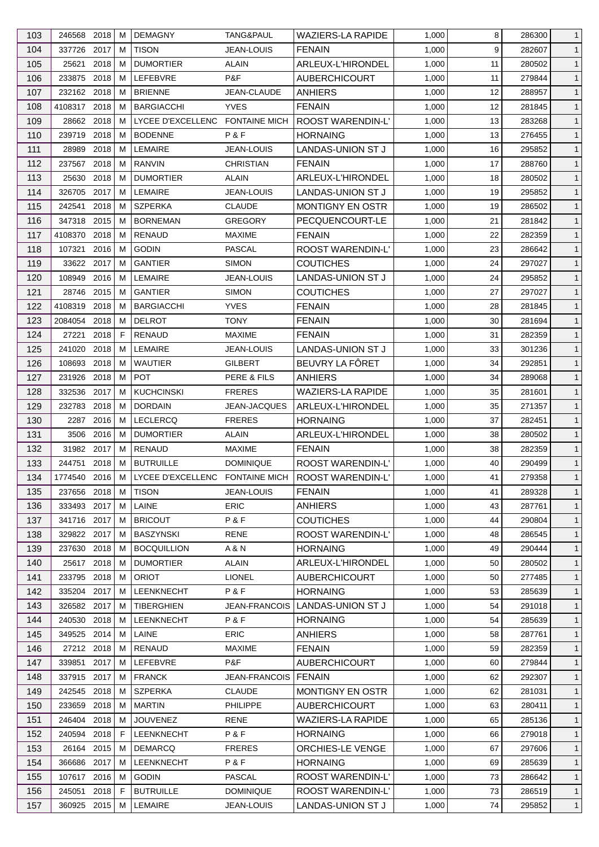| 103 | 246568 2018    |      | м | <b>DEMAGNY</b>                  | TANG&PAUL            | <b>WAZIERS-LA RAPIDE</b> | 1,000 | 8  | 286300 | $\mathbf{1}$ |
|-----|----------------|------|---|---------------------------------|----------------------|--------------------------|-------|----|--------|--------------|
| 104 | 337726 2017    |      | м | <b>TISON</b>                    | <b>JEAN-LOUIS</b>    | <b>FENAIN</b>            | 1,000 | 9  | 282607 | $\mathbf{1}$ |
| 105 | 25621          | 2018 | м | <b>DUMORTIER</b>                | ALAIN                | ARLEUX-L'HIRONDEL        | 1,000 | 11 | 280502 | $\mathbf{1}$ |
| 106 | 233875 2018    |      | м | <b>LEFEBVRE</b>                 | P&F                  | <b>AUBERCHICOURT</b>     | 1,000 | 11 | 279844 | $\mathbf{1}$ |
| 107 | 232162 2018    |      | м | <b>BRIENNE</b>                  | <b>JEAN-CLAUDE</b>   | <b>ANHIERS</b>           | 1,000 | 12 | 288957 | $\mathbf{1}$ |
| 108 | 4108317 2018   |      | м | <b>BARGIACCHI</b>               | <b>YVES</b>          | <b>FENAIN</b>            | 1,000 | 12 | 281845 | $\mathbf{1}$ |
| 109 | 28662 2018     |      | м | LYCEE D'EXCELLENC FONTAINE MICH |                      | <b>ROOST WARENDIN-L'</b> | 1,000 | 13 | 283268 | $\mathbf{1}$ |
| 110 | 239719         | 2018 | м | <b>BODENNE</b>                  | P&F                  | <b>HORNAING</b>          | 1,000 | 13 | 276455 | $\mathbf{1}$ |
| 111 | 28989          | 2018 | M | LEMAIRE                         | <b>JEAN-LOUIS</b>    | LANDAS-UNION ST J        | 1,000 | 16 | 295852 | $\mathbf{1}$ |
| 112 | 237567         | 2018 | м | RANVIN                          | <b>CHRISTIAN</b>     | <b>FENAIN</b>            | 1,000 | 17 | 288760 | $\mathbf{1}$ |
| 113 | 25630          | 2018 | м | <b>DUMORTIER</b>                | <b>ALAIN</b>         | ARLEUX-L'HIRONDEL        | 1,000 | 18 | 280502 | $\mathbf{1}$ |
| 114 | 326705         | 2017 | м | <b>LEMAIRE</b>                  | <b>JEAN-LOUIS</b>    | LANDAS-UNION ST J        | 1,000 | 19 | 295852 | $\mathbf{1}$ |
| 115 | 242541         | 2018 | м | <b>SZPERKA</b>                  | <b>CLAUDE</b>        | MONTIGNY EN OSTR         | 1,000 | 19 | 286502 | $\mathbf{1}$ |
| 116 | 347318 2015    |      | м | <b>BORNEMAN</b>                 | <b>GREGORY</b>       | PECQUENCOURT-LE          | 1,000 | 21 | 281842 | $\mathbf{1}$ |
| 117 | 4108370        | 2018 | м | <b>RENAUD</b>                   | <b>MAXIME</b>        | <b>FENAIN</b>            | 1,000 | 22 | 282359 | $\mathbf{1}$ |
| 118 | 107321         | 2016 | м | <b>GODIN</b>                    | <b>PASCAL</b>        | ROOST WARENDIN-L'        | 1,000 | 23 | 286642 | $\mathbf{1}$ |
| 119 | 33622 2017     |      | м | <b>GANTIER</b>                  | <b>SIMON</b>         | <b>COUTICHES</b>         | 1,000 | 24 | 297027 | $\mathbf{1}$ |
| 120 | 108949         | 2016 | м | LEMAIRE                         | <b>JEAN-LOUIS</b>    | LANDAS-UNION ST J        | 1,000 | 24 | 295852 | $\mathbf{1}$ |
| 121 | 28746 2015     |      | м | <b>GANTIER</b>                  | <b>SIMON</b>         | <b>COUTICHES</b>         | 1,000 | 27 | 297027 | $\mathbf{1}$ |
| 122 | 4108319        | 2018 | M | <b>BARGIACCHI</b>               | <b>YVES</b>          | <b>FENAIN</b>            | 1,000 | 28 | 281845 | $\mathbf{1}$ |
| 123 | 2084054 2018   |      | м | <b>DELROT</b>                   | TONY                 | <b>FENAIN</b>            | 1,000 | 30 | 281694 | $\mathbf{1}$ |
| 124 | 27221          | 2018 | E | <b>RENAUD</b>                   | <b>MAXIME</b>        | <b>FENAIN</b>            | 1,000 | 31 | 282359 | $\mathbf{1}$ |
| 125 | 241020         | 2018 | м | LEMAIRE                         | JEAN-LOUIS           | <b>LANDAS-UNION ST J</b> | 1,000 | 33 | 301236 | $\mathbf{1}$ |
| 126 | 108693         | 2018 | м | <b>WAUTIER</b>                  | GILBERT              | BEUVRY LA FÔRET          | 1,000 | 34 | 292851 | $\mathbf{1}$ |
|     |                |      |   |                                 |                      |                          |       |    |        |              |
| 127 | 231926         | 2018 | м | <b>POT</b>                      | PERE & FILS          | <b>ANHIERS</b>           | 1,000 | 34 | 289068 | $\mathbf{1}$ |
| 128 | 332536 2017    |      | м | <b>KUCHCINSKI</b>               | <b>FRERES</b>        | <b>WAZIERS-LA RAPIDE</b> | 1,000 | 35 | 281601 | $\mathbf{1}$ |
| 129 | 232783 2018    |      | м | <b>DORDAIN</b>                  | <b>JEAN-JACQUES</b>  | ARLEUX-L'HIRONDEL        | 1,000 | 35 | 271357 | $\mathbf{1}$ |
| 130 | 2287           | 2016 | м | <b>LECLERCQ</b>                 | <b>FRERES</b>        | <b>HORNAING</b>          | 1,000 | 37 | 282451 | $\mathbf{1}$ |
| 131 | 3506           | 2016 | м | <b>DUMORTIER</b>                | ALAIN                | ARLEUX-L'HIRONDEL        | 1,000 | 38 | 280502 | $\mathbf{1}$ |
| 132 | 31982 2017     |      | м | <b>RENAUD</b>                   | <b>MAXIME</b>        | <b>FENAIN</b>            | 1,000 | 38 | 282359 | $\mathbf{1}$ |
| 133 | 244751         | 2018 | M | <b>BUTRUILLE</b>                | <b>DOMINIQUE</b>     | ROOST WARENDIN-L'        | 1,000 | 40 | 290499 | $\mathbf{1}$ |
| 134 | 1774540 2016 M |      |   | LYCEE D'EXCELLENC FONTAINE MICH |                      | ROOST WARENDIN-L'        | 1,000 | 41 | 279358 | $\mathbf{1}$ |
| 135 | 237656 2018    |      | М | <b>TISON</b>                    | <b>JEAN-LOUIS</b>    | <b>FENAIN</b>            | 1,000 | 41 | 289328 | $\mathbf{1}$ |
| 136 | 333493 2017    |      | м | LAINE                           | <b>ERIC</b>          | <b>ANHIERS</b>           | 1,000 | 43 | 287761 | $\mathbf{1}$ |
| 137 | 341716 2017    |      | м | <b>BRICOUT</b>                  | P&F                  | <b>COUTICHES</b>         | 1,000 | 44 | 290804 | $\mathbf{1}$ |
| 138 | 329822 2017    |      | м | <b>BASZYNSKI</b>                | <b>RENE</b>          | <b>ROOST WARENDIN-L'</b> | 1,000 | 48 | 286545 | $\mathbf{1}$ |
| 139 | 237630         | 2018 | м | <b>BOCQUILLION</b>              | A & N                | <b>HORNAING</b>          | 1,000 | 49 | 290444 | $\mathbf{1}$ |
| 140 | 25617 2018     |      | м | <b>DUMORTIER</b>                | <b>ALAIN</b>         | ARLEUX-L'HIRONDEL        | 1,000 | 50 | 280502 | $\mathbf{1}$ |
| 141 | 233795         | 2018 | м | <b>ORIOT</b>                    | <b>LIONEL</b>        | <b>AUBERCHICOURT</b>     | 1,000 | 50 | 277485 | $\mathbf{1}$ |
| 142 | 335204         | 2017 | м | LEENKNECHT                      | P&F                  | <b>HORNAING</b>          | 1,000 | 53 | 285639 | $\mathbf{1}$ |
| 143 | 326582 2017    |      | м | <b>TIBERGHIEN</b>               | <b>JEAN-FRANCOIS</b> | LANDAS-UNION ST J        | 1,000 | 54 | 291018 | $\mathbf{1}$ |
| 144 | 240530         | 2018 | м | <b>LEENKNECHT</b>               | P&F                  | <b>HORNAING</b>          | 1,000 | 54 | 285639 | $\mathbf{1}$ |
| 145 | 349525         | 2014 | м | LAINE                           | <b>ERIC</b>          | <b>ANHIERS</b>           | 1,000 | 58 | 287761 | $\mathbf{1}$ |
| 146 | 27212 2018     |      | М | <b>RENAUD</b>                   | <b>MAXIME</b>        | <b>FENAIN</b>            | 1,000 | 59 | 282359 | $\mathbf{1}$ |
| 147 | 339851         | 2017 | м | LEFEBVRE                        | P&F                  | <b>AUBERCHICOURT</b>     | 1,000 | 60 | 279844 | $\mathbf{1}$ |
| 148 | 337915         | 2017 | м | <b>FRANCK</b>                   | JEAN-FRANCOIS        | <b>FENAIN</b>            | 1,000 | 62 | 292307 | $\mathbf{1}$ |
| 149 | 242545         | 2018 | м | <b>SZPERKA</b>                  | <b>CLAUDE</b>        | <b>MONTIGNY EN OSTR</b>  | 1,000 | 62 | 281031 | $\mathbf{1}$ |
| 150 | 233659         | 2018 | м | <b>MARTIN</b>                   | <b>PHILIPPE</b>      | <b>AUBERCHICOURT</b>     | 1,000 | 63 | 280411 | $\mathbf{1}$ |
| 151 | 246404 2018    |      | м | <b>JOUVENEZ</b>                 | RENE                 | <b>WAZIERS-LA RAPIDE</b> | 1,000 | 65 | 285136 | $\mathbf{1}$ |
| 152 | 240594         | 2018 | F | LEENKNECHT                      | P&F                  | <b>HORNAING</b>          | 1,000 | 66 | 279018 | $\mathbf{1}$ |
| 153 | 26164 2015     |      | м | <b>DEMARCQ</b>                  | <b>FRERES</b>        | ORCHIES-LE VENGE         | 1,000 | 67 | 297606 | $\mathbf{1}$ |
| 154 | 366686         | 2017 | м | LEENKNECHT                      | P&F                  | <b>HORNAING</b>          | 1,000 | 69 | 285639 | $\mathbf{1}$ |
| 155 | 107617 2016    |      | M | <b>GODIN</b>                    | <b>PASCAL</b>        | ROOST WARENDIN-L'        | 1,000 | 73 | 286642 | $\mathbf{1}$ |
| 156 | 245051         | 2018 | F | <b>BUTRUILLE</b>                | <b>DOMINIQUE</b>     | ROOST WARENDIN-L'        | 1,000 | 73 | 286519 | $\mathbf{1}$ |
| 157 | 360925 2015    |      | М | LEMAIRE                         | JEAN-LOUIS           | LANDAS-UNION ST J        | 1,000 | 74 | 295852 | $\mathbf{1}$ |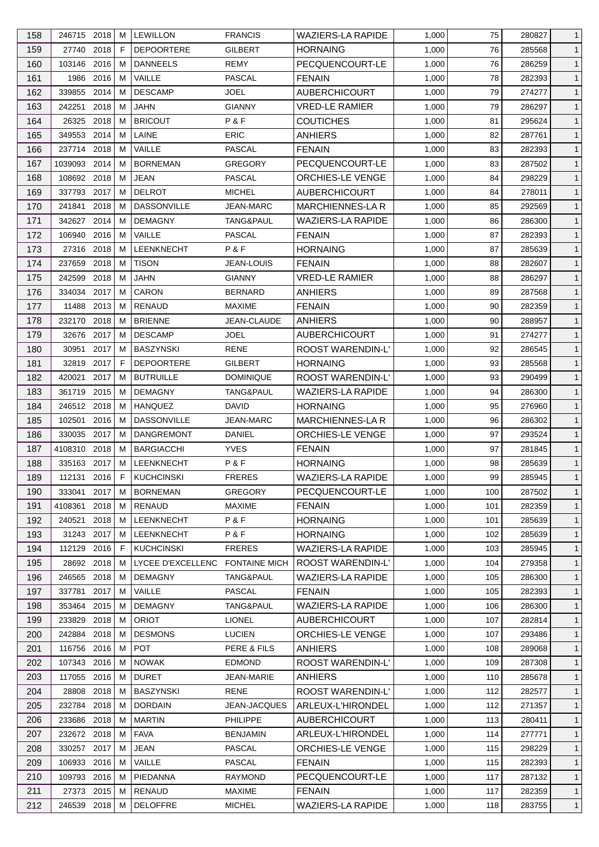| 158 | 246715 2018   |           | м | <b>LEWILLON</b>                 | <b>FRANCIS</b>       | <b>WAZIERS-LA RAPIDE</b> | 1,000 | 75  | 280827 | $\mathbf{1}$ |
|-----|---------------|-----------|---|---------------------------------|----------------------|--------------------------|-------|-----|--------|--------------|
| 159 | 27740 2018    |           | F | <b>DEPOORTERE</b>               | GILBERT              | <b>HORNAING</b>          | 1,000 | 76  | 285568 | $\mathbf{1}$ |
| 160 | 103146 2016   |           | м | <b>DANNEELS</b>                 | <b>REMY</b>          | PECQUENCOURT-LE          | 1,000 | 76  | 286259 | $\mathbf{1}$ |
| 161 |               | 1986 2016 | м | VAILLE                          | PASCAL               | <b>FENAIN</b>            | 1,000 | 78  | 282393 | $\mathbf{1}$ |
| 162 | 339855        | 2014      | м | <b>DESCAMP</b>                  | JOEL                 | <b>AUBERCHICOURT</b>     | 1,000 | 79  | 274277 | $\mathbf{1}$ |
| 163 | 242251        | 2018      | м | <b>JAHN</b>                     | <b>GIANNY</b>        | <b>VRED-LE RAMIER</b>    | 1,000 | 79  | 286297 | $\mathbf{1}$ |
| 164 | 26325         | 2018      | м | <b>BRICOUT</b>                  | P&F                  | <b>COUTICHES</b>         | 1,000 | 81  | 295624 | $\mathbf{1}$ |
| 165 | 349553 2014   |           | м | LAINE                           | <b>ERIC</b>          | ANHIERS                  | 1,000 | 82  | 287761 | $\mathbf{1}$ |
| 166 | 237714 2018   |           | M | VAILLE                          | PASCAL               | <b>FENAIN</b>            | 1,000 | 83  | 282393 | $\mathbf{1}$ |
| 167 | 1039093       | 2014      | м | <b>BORNEMAN</b>                 | <b>GREGORY</b>       | PECQUENCOURT-LE          | 1,000 | 83  | 287502 | $\mathbf{1}$ |
| 168 | 108692 2018   |           | м | <b>JEAN</b>                     | <b>PASCAL</b>        | ORCHIES-LE VENGE         | 1,000 | 84  | 298229 | $\mathbf{1}$ |
| 169 | 337793 2017   |           | м | <b>DELROT</b>                   | <b>MICHEL</b>        | AUBERCHICOURT            | 1,000 | 84  | 278011 | $\mathbf{1}$ |
| 170 | 241841        | 2018      | м | <b>DASSONVILLE</b>              | <b>JEAN-MARC</b>     | <b>MARCHIENNES-LA R</b>  | 1,000 | 85  | 292569 | $\mathbf{1}$ |
| 171 | 342627        | 2014      | м | <b>DEMAGNY</b>                  | TANG&PAUL            | <b>WAZIERS-LA RAPIDE</b> | 1,000 | 86  | 286300 | $\mathbf{1}$ |
| 172 | 106940        | 2016      | м | VAILLE                          | <b>PASCAL</b>        | <b>FENAIN</b>            | 1,000 | 87  | 282393 | $\mathbf{1}$ |
| 173 | 27316 2018    |           | м | LEENKNECHT                      | P&F                  | <b>HORNAING</b>          | 1,000 | 87  | 285639 | $\mathbf{1}$ |
| 174 | 237659        | 2018      | м | <b>TISON</b>                    | <b>JEAN-LOUIS</b>    | <b>FENAIN</b>            | 1,000 | 88  | 282607 | $\mathbf{1}$ |
| 175 | 242599        | 2018      | м | JAHN                            | <b>GIANNY</b>        | <b>VRED-LE RAMIER</b>    | 1,000 | 88  | 286297 | $\mathbf{1}$ |
| 176 | 334034 2017   |           | м | CARON                           | <b>BERNARD</b>       | <b>ANHIERS</b>           | 1,000 | 89  | 287568 | $\mathbf{1}$ |
| 177 | 11488         | 2013      | M | <b>RENAUD</b>                   | <b>MAXIME</b>        | <b>FENAIN</b>            | 1,000 | 90  | 282359 | $\mathbf{1}$ |
| 178 | 232170        | 2018      | м | <b>BRIENNE</b>                  | JEAN-CLAUDE          | ANHIERS                  | 1,000 | 90  | 288957 | $\mathbf{1}$ |
|     | 32676         | 2017      | м | <b>DESCAMP</b>                  | <b>JOEL</b>          |                          |       | 91  | 274277 |              |
| 179 |               |           |   |                                 |                      | <b>AUBERCHICOURT</b>     | 1,000 |     |        | $\mathbf{1}$ |
| 180 | 30951         | 2017      | м | <b>BASZYNSKI</b>                | <b>RENE</b>          | ROOST WARENDIN-L'        | 1,000 | 92  | 286545 | $\mathbf{1}$ |
| 181 | 32819         | 2017      | F | <b>DEPOORTERE</b>               | GILBERT              | <b>HORNAING</b>          | 1,000 | 93  | 285568 | $\mathbf{1}$ |
| 182 | 420021        | 2017      | м | <b>BUTRUILLE</b>                | <b>DOMINIQUE</b>     | ROOST WARENDIN-L'        | 1,000 | 93  | 290499 | $\mathbf{1}$ |
| 183 | 361719        | 2015      | м | <b>DEMAGNY</b>                  | TANG&PAUL            | <b>WAZIERS-LA RAPIDE</b> | 1,000 | 94  | 286300 | $\mathbf{1}$ |
| 184 | 246512 2018   |           | м | <b>HANQUEZ</b>                  | <b>DAVID</b>         | <b>HORNAING</b>          | 1,000 | 95  | 276960 | $\mathbf{1}$ |
| 185 | 102501        | 2016      | м | <b>DASSONVILLE</b>              | <b>JEAN-MARC</b>     | <b>MARCHIENNES-LAR</b>   | 1,000 | 96  | 286302 | $\mathbf{1}$ |
| 186 | 330035        | 2017      | м | <b>DANGREMONT</b>               | DANIEL               | ORCHIES-LE VENGE         | 1,000 | 97  | 293524 | $\mathbf{1}$ |
| 187 | 4108310 2018  |           | м | <b>BARGIACCHI</b>               | <b>YVES</b>          | <b>FENAIN</b>            | 1,000 | 97  | 281845 | $\mathbf{1}$ |
| 188 | 335163 2017   |           | M | LEENKNECHT                      | P&F                  | <b>HORNAING</b>          | 1,000 | 98  | 285639 | $\mathbf{1}$ |
| 189 | 112131 2016 F |           |   | KUCHCINSKI                      | <b>FRERES</b>        | <b>WAZIERS-LA RAPIDE</b> | 1,000 | 99  | 285945 | $\mathbf{1}$ |
| 190 | 333041 2017   |           | м | <b>BORNEMAN</b>                 | <b>GREGORY</b>       | PECQUENCOURT-LE          | 1,000 | 100 | 287502 | $\mathbf{1}$ |
| 191 | 4108361       | 2018      | м | <b>RENAUD</b>                   | <b>MAXIME</b>        | <b>FENAIN</b>            | 1,000 | 101 | 282359 | $\mathbf{1}$ |
| 192 | 240521        | 2018      | м | LEENKNECHT                      | P&F                  | <b>HORNAING</b>          | 1,000 | 101 | 285639 | $\mathbf{1}$ |
| 193 | 31243 2017    |           | м | <b>LEENKNECHT</b>               | P&F                  | <b>HORNAING</b>          | 1,000 | 102 | 285639 | $\mathbf{1}$ |
| 194 | 112129 2016   |           | F | <b>KUCHCINSKI</b>               | <b>FRERES</b>        | <b>WAZIERS-LA RAPIDE</b> | 1,000 | 103 | 285945 | $\mathbf{1}$ |
| 195 | 28692 2018    |           | м | LYCEE D'EXCELLENC FONTAINE MICH |                      | ROOST WARENDIN-L'        | 1,000 | 104 | 279358 | $\mathbf{1}$ |
| 196 | 246565        | 2018      | м | <b>DEMAGNY</b>                  | TANG&PAUL            | <b>WAZIERS-LA RAPIDE</b> | 1,000 | 105 | 286300 | $\mathbf{1}$ |
| 197 | 337781        | 2017      | м | VAILLE                          | <b>PASCAL</b>        | <b>FENAIN</b>            | 1,000 | 105 | 282393 | $\mathbf{1}$ |
| 198 | 353464 2015   |           | м | <b>DEMAGNY</b>                  | <b>TANG&amp;PAUL</b> | WAZIERS-LA RAPIDE        | 1,000 | 106 | 286300 | $\mathbf{1}$ |
| 199 | 233829 2018   |           | M | <b>ORIOT</b>                    | <b>LIONEL</b>        | <b>AUBERCHICOURT</b>     | 1,000 | 107 | 282814 | $\mathbf{1}$ |
| 200 | 242884 2018   |           | м | <b>DESMONS</b>                  | <b>LUCIEN</b>        | <b>ORCHIES-LE VENGE</b>  | 1,000 | 107 | 293486 | $\mathbf{1}$ |
| 201 | 116756        | 2016      | м | <b>POT</b>                      | PERE & FILS          | <b>ANHIERS</b>           | 1,000 | 108 | 289068 | $\mathbf{1}$ |
| 202 | 107343 2016   |           | м | <b>NOWAK</b>                    | <b>EDMOND</b>        | ROOST WARENDIN-L'        | 1,000 | 109 | 287308 | $\mathbf{1}$ |
| 203 | 117055        | 2016      | м | <b>DURET</b>                    | JEAN-MARIE           | <b>ANHIERS</b>           | 1,000 | 110 | 285678 | $\mathbf{1}$ |
| 204 | 28808         | 2018      | м | <b>BASZYNSKI</b>                | RENE                 | <b>ROOST WARENDIN-L'</b> | 1,000 | 112 | 282577 | $\mathbf{1}$ |
| 205 | 232784 2018   |           | м | <b>DORDAIN</b>                  | <b>JEAN-JACQUES</b>  | ARLEUX-L'HIRONDEL        | 1,000 | 112 | 271357 | $\mathbf{1}$ |
| 206 | 233686 2018   |           | м | <b>MARTIN</b>                   | <b>PHILIPPE</b>      | <b>AUBERCHICOURT</b>     | 1,000 | 113 | 280411 | $\mathbf{1}$ |
| 207 | 232672 2018   |           | M | <b>FAVA</b>                     | <b>BENJAMIN</b>      | ARLEUX-L'HIRONDEL        | 1,000 | 114 | 277771 | $\mathbf{1}$ |
| 208 | 330257 2017   |           | м | JEAN                            | PASCAL               | <b>ORCHIES-LE VENGE</b>  | 1,000 | 115 | 298229 | $\mathbf{1}$ |
| 209 | 106933 2016   |           | м | VAILLE                          | PASCAL               | <b>FENAIN</b>            | 1,000 | 115 | 282393 | $\mathbf{1}$ |
| 210 | 109793 2016   |           | M | PIEDANNA                        | <b>RAYMOND</b>       | PECQUENCOURT-LE          | 1,000 | 117 | 287132 | $\mathbf{1}$ |
| 211 | 27373 2015    |           | M | RENAUD                          | <b>MAXIME</b>        | <b>FENAIN</b>            | 1,000 | 117 | 282359 | $\mathbf{1}$ |
| 212 | 246539 2018   |           | М | <b>DELOFFRE</b>                 | <b>MICHEL</b>        | WAZIERS-LA RAPIDE        | 1,000 | 118 | 283755 | $\mathbf{1}$ |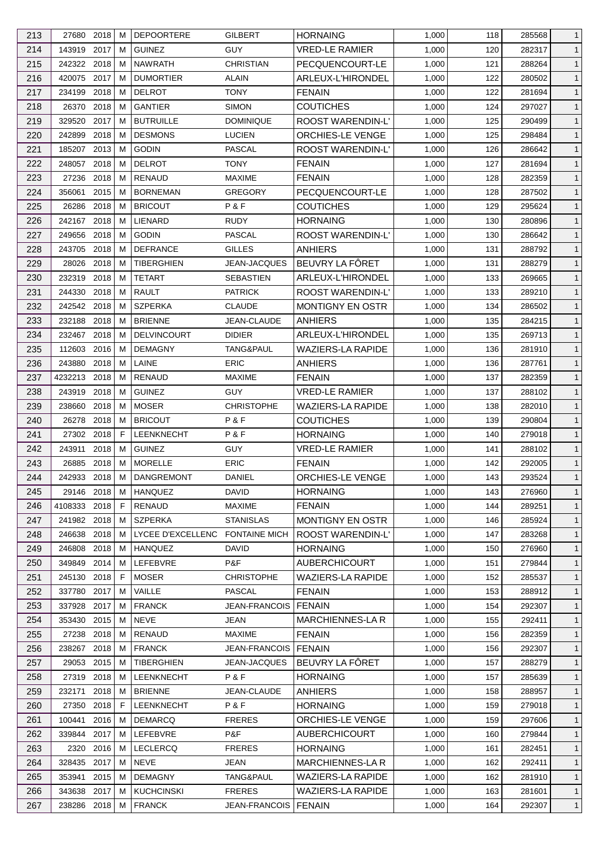| 213        | 27680 2018          |              | м      | <b>DEPOORTERE</b>                  | <b>GILBERT</b>           | <b>HORNAING</b>                              | 1,000          | 118        | 285568           | $\mathbf{1}$                 |
|------------|---------------------|--------------|--------|------------------------------------|--------------------------|----------------------------------------------|----------------|------------|------------------|------------------------------|
| 214        | 143919 2017         |              | м      | <b>GUINEZ</b>                      | <b>GUY</b>               | <b>VRED-LE RAMIER</b>                        | 1,000          | 120        | 282317           | $\mathbf{1}$                 |
| 215        | 242322 2018         |              | м      | <b>NAWRATH</b>                     | <b>CHRISTIAN</b>         | PECQUENCOURT-LE                              | 1,000          | 121        | 288264           | $\mathbf{1}$                 |
| 216        | 420075 2017         |              | м      | <b>DUMORTIER</b>                   | <b>ALAIN</b>             | ARLEUX-L'HIRONDEL                            | 1,000          | 122        | 280502           | $\mathbf{1}$                 |
| 217        | 234199              | 2018         | м      | <b>DELROT</b>                      | <b>TONY</b>              | <b>FENAIN</b>                                | 1,000          | 122        | 281694           | $\mathbf{1}$                 |
| 218        | 26370               | 2018         | м      | <b>GANTIER</b>                     | <b>SIMON</b>             | <b>COUTICHES</b>                             | 1,000          | 124        | 297027           | $\mathbf{1}$                 |
| 219        | 329520              | 2017         | м      | <b>BUTRUILLE</b>                   | <b>DOMINIQUE</b>         | <b>ROOST WARENDIN-L'</b>                     | 1,000          | 125        | 290499           | $\mathbf{1}$                 |
| 220        | 242899              | 2018         | м      | <b>DESMONS</b>                     | <b>LUCIEN</b>            | ORCHIES-LE VENGE                             | 1,000          | 125        | 298484           | $\mathbf{1}$                 |
| 221        | 185207              | 2013         | M      | <b>GODIN</b>                       | PASCAL                   | <b>ROOST WARENDIN-L'</b>                     | 1,000          | 126        | 286642           | $\mathbf{1}$                 |
| 222        | 248057              | 2018         | м      | <b>DELROT</b>                      | TONY                     | <b>FENAIN</b>                                | 1,000          | 127        | 281694           | $\mathbf{1}$                 |
| 223        | 27236               | 2018         | м      | <b>RENAUD</b>                      | <b>MAXIME</b>            | <b>FENAIN</b>                                | 1,000          | 128        | 282359           | $\mathbf{1}$                 |
| 224        | 356061              | 2015         | м      | <b>BORNEMAN</b>                    | <b>GREGORY</b>           | PECQUENCOURT-LE                              | 1,000          | 128        | 287502           | $\mathbf{1}$                 |
| 225        | 26286               | 2018         | м      | <b>BRICOUT</b>                     | P&F                      | <b>COUTICHES</b>                             | 1,000          | 129        | 295624           | $\mathbf{1}$                 |
| 226        | 242167              | 2018         | м      | LIENARD                            | RUDY                     | <b>HORNAING</b>                              | 1,000          | 130        | 280896           | $\mathbf{1}$                 |
| 227        | 249656              | 2018         | м      | <b>GODIN</b>                       | PASCAL                   | ROOST WARENDIN-L'                            | 1,000          | 130        | 286642           | $\mathbf{1}$                 |
| 228        | 243705              | 2018         | M      | <b>DEFRANCE</b>                    | <b>GILLES</b>            | <b>ANHIERS</b>                               | 1,000          | 131        | 288792           | $\mathbf{1}$                 |
| 229        | 28026               | 2018         | м      | <b>TIBERGHIEN</b>                  | JEAN-JACQUES             | BEUVRY LA FÔRET                              | 1,000          | 131        | 288279           | $\mathbf{1}$                 |
| 230        | 232319              | 2018         | м      | <b>TETART</b>                      | <b>SEBASTIEN</b>         | ARLEUX-L'HIRONDEL                            | 1,000          | 133        | 269665           | $\mathbf{1}$                 |
| 231        | 244330              | 2018         | м      | <b>RAULT</b>                       | <b>PATRICK</b>           | <b>ROOST WARENDIN-L'</b>                     | 1,000          | 133        | 289210           | $\mathbf{1}$                 |
| 232        | 242542 2018         |              | M      | <b>SZPERKA</b>                     | <b>CLAUDE</b>            | <b>MONTIGNY EN OSTR</b>                      | 1,000          | 134        | 286502           | $\mathbf{1}$                 |
| 233        | 232188              | 2018         | м      | <b>BRIENNE</b>                     | JEAN-CLAUDE              | ANHIERS                                      | 1,000          | 135        | 284215           | $\mathbf{1}$                 |
| 234        | 232467 2018         |              | м      | DELVINCOURT                        | <b>DIDIER</b>            | ARLEUX-L'HIRONDEL                            | 1,000          | 135        | 269713           | $\mathbf{1}$                 |
| 235        | 112603              | 2016         | м      | <b>DEMAGNY</b>                     | TANG&PAUL                | <b>WAZIERS-LA RAPIDE</b>                     | 1,000          | 136        | 281910           | $\mathbf{1}$                 |
| 236        | 243880              | 2018         | м      | LAINE                              | <b>ERIC</b>              | <b>ANHIERS</b>                               | 1,000          | 136        | 287761           | $\mathbf{1}$                 |
| 237        | 4232213             | 2018         | м      | <b>RENAUD</b>                      | <b>MAXIME</b>            | <b>FENAIN</b>                                | 1,000          | 137        | 282359           | $\mathbf{1}$                 |
|            |                     | 2018         | м      | <b>GUINEZ</b>                      | <b>GUY</b>               |                                              |                | 137        |                  | $\mathbf{1}$                 |
| 238        | 243919              |              |        |                                    |                          | <b>VRED-LE RAMIER</b>                        | 1,000          |            | 288102           |                              |
| 239        | 238660              | 2018<br>2018 | м<br>м | <b>MOSER</b><br><b>BRICOUT</b>     | <b>CHRISTOPHE</b><br>P&F | <b>WAZIERS-LA RAPIDE</b><br><b>COUTICHES</b> | 1,000          | 138        | 282010           | $\mathbf{1}$<br>$\mathbf{1}$ |
| 240        | 26278<br>27302 2018 |              | F.     |                                    | P&F                      | <b>HORNAING</b>                              | 1,000          | 139<br>140 | 290804           | $\mathbf{1}$                 |
| 241<br>242 | 243911              | 2018         | М      | <b>LEENKNECHT</b><br><b>GUINEZ</b> | <b>GUY</b>               | <b>VRED-LE RAMIER</b>                        | 1,000<br>1,000 |            | 279018<br>288102 |                              |
|            | 26885               | 2018         | M      | <b>MORELLE</b>                     | <b>ERIC</b>              |                                              |                | 141<br>142 |                  | $\mathbf{1}$<br>$\mathbf{1}$ |
| 243        |                     |              |        |                                    |                          | <b>FENAIN</b>                                | 1,000          |            | 292005           |                              |
| 244        | 242933 2018 M       |              |        | DANGREMONT                         | DANIEL                   | ORCHIES-LE VENGE                             | 1,000          | 143        | 293524           | $\mathbf{1}$                 |
| 245        | 29146 2018          |              | M      | HANQUEZ                            | <b>DAVID</b>             | <b>HORNAING</b>                              | 1,000          | 143        | 276960           | $\mathbf{1}$                 |
| 246        | 4108333 2018        |              | F      | RENAUD                             | <b>MAXIME</b>            | <b>FENAIN</b>                                | 1,000          | 144        | 289251           | $\mathbf{1}$                 |
| 247        | 241982 2018         |              | м      | <b>SZPERKA</b>                     | <b>STANISLAS</b>         | MONTIGNY EN OSTR                             | 1,000          | 146        | 285924           | $\mathbf{1}$                 |
| 248        | 246638              | 2018         | м      | LYCEE D'EXCELLENC FONTAINE MICH    |                          | ROOST WARENDIN-L'                            | 1,000          | 147        | 283268           | $\mathbf{1}$                 |
| 249        | 246808 2018         |              | м      | <b>HANQUEZ</b>                     | DAVID                    | <b>HORNAING</b>                              | 1,000          | 150        | 276960           | $\mathbf{1}$                 |
| 250        | 349849 2014         |              | м      | LEFEBVRE                           | P&F                      | <b>AUBERCHICOURT</b>                         | 1,000          | 151        | 279844           | $\mathbf{1}$                 |
| 251        | 245130              | 2018         | F      | <b>MOSER</b>                       | <b>CHRISTOPHE</b>        | <b>WAZIERS-LA RAPIDE</b>                     | 1,000          | 152        | 285537           | $\mathbf{1}$                 |
| 252        | 337780              | 2017         | м      | VAILLE                             | <b>PASCAL</b>            | <b>FENAIN</b>                                | 1,000          | 153        | 288912           | $\mathbf{1}$                 |
| 253        | 337928              | 2017         | м      | <b>FRANCK</b>                      | <b>JEAN-FRANCOIS</b>     | <b>FENAIN</b>                                | 1,000          | 154        | 292307           | $\mathbf{1}$                 |
| 254        | 353430 2015         |              | м      | <b>NEVE</b>                        | JEAN                     | <b>MARCHIENNES-LA R</b>                      | 1,000          | 155        | 292411           | $\mathbf{1}$                 |
| 255        | 27238 2018          |              | м      | RENAUD                             | <b>MAXIME</b>            | <b>FENAIN</b>                                | 1,000          | 156        | 282359           | $\mathbf{1}$                 |
| 256        | 238267 2018         |              | м      | <b>FRANCK</b>                      | <b>JEAN-FRANCOIS</b>     | <b>FENAIN</b>                                | 1,000          | 156        | 292307           | $\mathbf{1}$                 |
| 257        | 29053 2015          |              | м      | <b>TIBERGHIEN</b>                  | <b>JEAN-JACQUES</b>      | BEUVRY LA FÔRET                              | 1,000          | 157        | 288279           | $\mathbf{1}$                 |
| 258        | 27319 2018          |              | м      | LEENKNECHT                         | P&F                      | <b>HORNAING</b>                              | 1,000          | 157        | 285639           | $\mathbf{1}$                 |
| 259        | 232171              | 2018         | м      | <b>BRIENNE</b>                     | JEAN-CLAUDE              | <b>ANHIERS</b>                               | 1,000          | 158        | 288957           | $\mathbf{1}$                 |
| 260        | 27350               | 2018         | F      | LEENKNECHT                         | P&F                      | <b>HORNAING</b>                              | 1,000          | 159        | 279018           | $\mathbf{1}$                 |
| 261        | 100441              | 2016         | м      | <b>DEMARCQ</b>                     | <b>FRERES</b>            | ORCHIES-LE VENGE                             | 1,000          | 159        | 297606           | $\mathbf{1}$                 |
| 262        | 339844              | 2017         | м      | LEFEBVRE                           | P&F                      | <b>AUBERCHICOURT</b>                         | 1,000          | 160        | 279844           | $\mathbf{1}$                 |
| 263        |                     | 2320 2016    | м      | <b>LECLERCQ</b>                    | <b>FRERES</b>            | <b>HORNAING</b>                              | 1,000          | 161        | 282451           | $\mathbf{1}$                 |
| 264        | 328435              | 2017         | м      | <b>NEVE</b>                        | JEAN                     | <b>MARCHIENNES-LAR</b>                       | 1,000          | 162        | 292411           | $\mathbf{1}$                 |
| 265        | 353941              | 2015         | м      | <b>DEMAGNY</b>                     | TANG&PAUL                | <b>WAZIERS-LA RAPIDE</b>                     | 1,000          | 162        | 281910           | $\mathbf{1}$                 |
| 266        | 343638 2017         |              | м      | <b>KUCHCINSKI</b>                  | <b>FRERES</b>            | <b>WAZIERS-LA RAPIDE</b>                     | 1,000          | 163        | 281601           | $\mathbf{1}$                 |
| 267        | 238286 2018         |              | M      | <b>FRANCK</b>                      | JEAN-FRANCOIS            | <b>FENAIN</b>                                | 1,000          | 164        | 292307           | $\mathbf{1}$                 |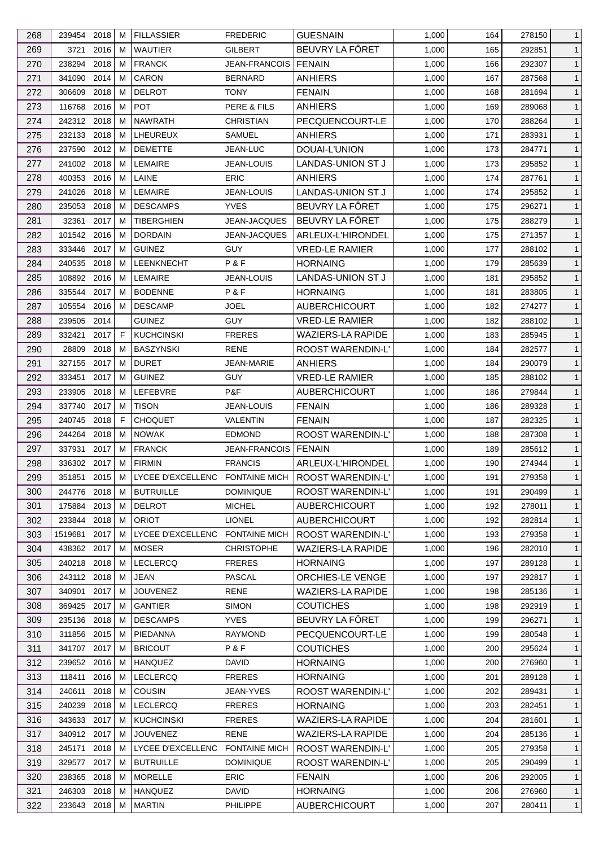| 268 | 239454 2018 |          | м | <b>FILLASSIER</b>               | <b>FREDERIC</b>               | <b>GUESNAIN</b>          | 1,000 | 164 | 278150 | $\mathbf{1}$   |
|-----|-------------|----------|---|---------------------------------|-------------------------------|--------------------------|-------|-----|--------|----------------|
| 269 | 3721        | 2016     | м | <b>WAUTIER</b>                  | GILBERT                       | BEUVRY LA FÔRET          | 1,000 | 165 | 292851 | $\mathbf{1}$   |
| 270 | 238294      | 2018     | м | <b>FRANCK</b>                   | <b>JEAN-FRANCOIS   FENAIN</b> |                          | 1,000 | 166 | 292307 | $\mathbf{1}$   |
| 271 | 341090      | 2014     | м | CARON                           | <b>BERNARD</b>                | ANHIERS                  | 1,000 | 167 | 287568 | $\mathbf{1}$   |
| 272 | 306609      | 2018     | м | <b>DELROT</b>                   | <b>TONY</b>                   | <b>FENAIN</b>            | 1,000 | 168 | 281694 | $\mathbf{1}$   |
| 273 | 116768      | 2016     | M | <b>POT</b>                      | PERE & FILS                   | <b>ANHIERS</b>           | 1,000 | 169 | 289068 | $\mathbf{1}$   |
| 274 | 242312 2018 |          | м | <b>NAWRATH</b>                  | <b>CHRISTIAN</b>              | PECQUENCOURT-LE          | 1,000 | 170 | 288264 | $\mathbf{1}$   |
| 275 | 232133 2018 |          | M | LHEUREUX                        | <b>SAMUEL</b>                 | <b>ANHIERS</b>           | 1,000 | 171 | 283931 | $\mathbf{1}$   |
| 276 | 237590      | 2012     | м | <b>DEMETTE</b>                  | JEAN-LUC                      | DOUAI-L'UNION            | 1,000 | 173 | 284771 | $\mathbf{1}$   |
| 277 | 241002 2018 |          | м | <b>LEMAIRE</b>                  | <b>JEAN-LOUIS</b>             | LANDAS-UNION ST J        | 1,000 | 173 | 295852 | $\mathbf{1}$   |
| 278 | 400353      | 2016     | м | LAINE                           | ERIC                          | <b>ANHIERS</b>           | 1,000 | 174 | 287761 | $\mathbf{1}$   |
| 279 | 241026      | 2018     | м | <b>LEMAIRE</b>                  | <b>JEAN-LOUIS</b>             | LANDAS-UNION ST J        | 1,000 | 174 | 295852 | $\mathbf{1}$   |
| 280 | 235053      | 2018     | м | <b>DESCAMPS</b>                 | <b>YVES</b>                   | BEUVRY LA FÔRET          | 1,000 | 175 | 296271 | $\mathbf{1}$   |
| 281 | 32361       | 2017     | M | TIBERGHIEN                      | JEAN-JACQUES                  | BEUVRY LA FÔRET          | 1,000 | 175 | 288279 | $\mathbf{1}$   |
| 282 | 101542 2016 |          | м | <b>DORDAIN</b>                  | <b>JEAN-JACQUES</b>           | ARLEUX-L'HIRONDEL        | 1,000 | 175 | 271357 | $\mathbf{1}$   |
|     |             |          |   |                                 |                               |                          |       |     |        |                |
| 283 | 333446 2017 |          | м | <b>GUINEZ</b>                   | <b>GUY</b>                    | <b>VRED-LE RAMIER</b>    | 1,000 | 177 | 288102 | $\mathbf{1}$   |
| 284 | 240535      | 2018     | M | LEENKNECHT                      | P&F                           | <b>HORNAING</b>          | 1,000 | 179 | 285639 | $\mathbf{1}$   |
| 285 | 108892 2016 |          | м | LEMAIRE                         | <b>JEAN-LOUIS</b>             | LANDAS-UNION ST J        | 1,000 | 181 | 295852 | $\mathbf{1}$   |
| 286 | 335544 2017 |          | м | <b>BODENNE</b>                  | P&F                           | <b>HORNAING</b>          | 1,000 | 181 | 283805 | $\mathbf{1}$   |
| 287 | 105554 2016 |          | м | <b>DESCAMP</b>                  | <b>JOEL</b>                   | <b>AUBERCHICOURT</b>     | 1,000 | 182 | 274277 | $\mathbf{1}$   |
| 288 | 239505      | 2014     |   | <b>GUINEZ</b>                   | <b>GUY</b>                    | <b>VRED-LE RAMIER</b>    | 1,000 | 182 | 288102 | $\mathbf{1}$   |
| 289 | 332421      | 2017     | F | <b>KUCHCINSKI</b>               | <b>FRERES</b>                 | <b>WAZIERS-LA RAPIDE</b> | 1,000 | 183 | 285945 | $\mathbf{1}$   |
| 290 | 28809       | 2018     | м | <b>BASZYNSKI</b>                | <b>RENE</b>                   | ROOST WARENDIN-L'        | 1,000 | 184 | 282577 | $\mathbf{1}$   |
| 291 | 327155 2017 |          | м | <b>DURET</b>                    | <b>JEAN-MARIE</b>             | <b>ANHIERS</b>           | 1,000 | 184 | 290079 | $\mathbf{1}$   |
| 292 | 333451      | 2017     | м | <b>GUINEZ</b>                   | <b>GUY</b>                    | <b>VRED-LE RAMIER</b>    | 1,000 | 185 | 288102 | $\mathbf{1}$   |
| 293 | 233905      | 2018     | м | LEFEBVRE                        | P&F                           | <b>AUBERCHICOURT</b>     | 1,000 | 186 | 279844 | $\mathbf{1}$   |
| 294 | 337740 2017 |          | м | <b>TISON</b>                    | <b>JEAN-LOUIS</b>             | <b>FENAIN</b>            | 1,000 | 186 | 289328 | $\mathbf{1}$   |
| 295 | 240745      | 2018     | F | <b>CHOQUET</b>                  | VALENTIN                      | <b>FENAIN</b>            | 1,000 | 187 | 282325 | $\mathbf{1}$   |
| 296 | 244264 2018 |          | м | <b>NOWAK</b>                    | <b>EDMOND</b>                 | ROOST WARENDIN-L'        | 1,000 | 188 | 287308 | $\mathbf{1}$   |
| 297 | 337931      | 2017     | м | <b>FRANCK</b>                   | <b>JEAN-FRANCOIS</b>          | <b>FENAIN</b>            | 1,000 | 189 | 285612 | $\mathbf{1}$   |
| 298 | 336302 2017 |          | M | <b>FIRMIN</b>                   | <b>FRANCIS</b>                | ARLEUX-L'HIRONDEL        | 1,000 | 190 | 274944 | $\mathbf{1}$   |
| 299 | 351851      | $2015$ M |   | LYCEE D'EXCELLENC FONTAINE MICH |                               | ROOST WARENDIN-L'        | 1,000 | 191 | 279358 | $\overline{1}$ |
| 300 | 244776 2018 |          | М | <b>BUTRUILLE</b>                | <b>DOMINIQUE</b>              | ROOST WARENDIN-L'        | 1,000 | 191 | 290499 | $\mathbf{1}$   |
| 301 | 175884 2013 |          | м | <b>DELROT</b>                   | <b>MICHEL</b>                 | <b>AUBERCHICOURT</b>     | 1,000 | 192 | 278011 | $\mathbf{1}$   |
| 302 | 233844      | 2018     | м | <b>ORIOT</b>                    | <b>LIONEL</b>                 | <b>AUBERCHICOURT</b>     | 1,000 | 192 | 282814 | $\mathbf{1}$   |
| 303 | 1519681     | 2017     | м | LYCEE D'EXCELLENC FONTAINE MICH |                               | ROOST WARENDIN-L'        | 1,000 | 193 | 279358 | $\mathbf{1}$   |
| 304 | 438362 2017 |          | м | <b>MOSER</b>                    | <b>CHRISTOPHE</b>             | <b>WAZIERS-LA RAPIDE</b> | 1,000 | 196 | 282010 | $\mathbf{1}$   |
| 305 | 240218 2018 |          | м | <b>LECLERCQ</b>                 | <b>FRERES</b>                 | <b>HORNAING</b>          | 1,000 | 197 | 289128 | $\mathbf{1}$   |
| 306 | 243112 2018 |          | M | <b>JEAN</b>                     | <b>PASCAL</b>                 | ORCHIES-LE VENGE         | 1,000 | 197 | 292817 | $\mathbf{1}$   |
| 307 | 340901      | 2017     | м | <b>JOUVENEZ</b>                 | <b>RENE</b>                   | <b>WAZIERS-LA RAPIDE</b> | 1,000 | 198 | 285136 | $\mathbf{1}$   |
| 308 | 369425 2017 |          | м | <b>GANTIER</b>                  | <b>SIMON</b>                  | <b>COUTICHES</b>         | 1,000 | 198 | 292919 | $\mathbf{1}$   |
| 309 | 235136 2018 |          | м | <b>DESCAMPS</b>                 | <b>YVES</b>                   | BEUVRY LA FÔRET          | 1,000 | 199 | 296271 | $\mathbf{1}$   |
| 310 | 311856 2015 |          | м | PIEDANNA                        | <b>RAYMOND</b>                | PECQUENCOURT-LE          | 1,000 | 199 | 280548 | $\mathbf{1}$   |
| 311 | 341707      | 2017     | м | <b>BRICOUT</b>                  | P&F                           | <b>COUTICHES</b>         | 1,000 | 200 | 295624 | $\mathbf{1}$   |
| 312 | 239652 2016 |          | м | <b>HANQUEZ</b>                  | DAVID                         | <b>HORNAING</b>          | 1,000 | 200 | 276960 | $\mathbf{1}$   |
| 313 | 118411      | 2016     | M | <b>LECLERCQ</b>                 | <b>FRERES</b>                 | <b>HORNAING</b>          | 1,000 | 201 | 289128 | $\mathbf{1}$   |
| 314 | 240611      | 2018     | M | <b>COUSIN</b>                   | <b>JEAN-YVES</b>              | ROOST WARENDIN-L'        | 1,000 | 202 | 289431 | $\mathbf{1}$   |
| 315 | 240239      | 2018     | м | <b>LECLERCQ</b>                 | <b>FRERES</b>                 | <b>HORNAING</b>          | 1,000 | 203 | 282451 | $\mathbf{1}$   |
| 316 | 343633 2017 |          | м | <b>KUCHCINSKI</b>               | <b>FRERES</b>                 | <b>WAZIERS-LA RAPIDE</b> | 1,000 | 204 | 281601 | $\mathbf{1}$   |
| 317 | 340912 2017 |          | м | <b>JOUVENEZ</b>                 | <b>RENE</b>                   | <b>WAZIERS-LA RAPIDE</b> | 1,000 | 204 | 285136 | $\mathbf{1}$   |
| 318 | 245171      | 2018     | м | LYCEE D'EXCELLENC FONTAINE MICH |                               | ROOST WARENDIN-L'        | 1,000 | 205 | 279358 | $\mathbf{1}$   |
|     | 329577      | 2017     | м | <b>BUTRUILLE</b>                | <b>DOMINIQUE</b>              |                          |       |     | 290499 |                |
| 319 |             |          |   | <b>MORELLE</b>                  | <b>ERIC</b>                   | ROOST WARENDIN-L'        | 1,000 | 205 |        | $\mathbf{1}$   |
| 320 | 238365      | 2018     | м |                                 |                               | <b>FENAIN</b>            | 1,000 | 206 | 292005 | $\mathbf{1}$   |
| 321 | 246303 2018 |          | м | <b>HANQUEZ</b>                  | <b>DAVID</b>                  | <b>HORNAING</b>          | 1,000 | 206 | 276960 | $\mathbf{1}$   |
| 322 | 233643 2018 |          | М | <b>MARTIN</b>                   | PHILIPPE                      | <b>AUBERCHICOURT</b>     | 1,000 | 207 | 280411 | $\mathbf{1}$   |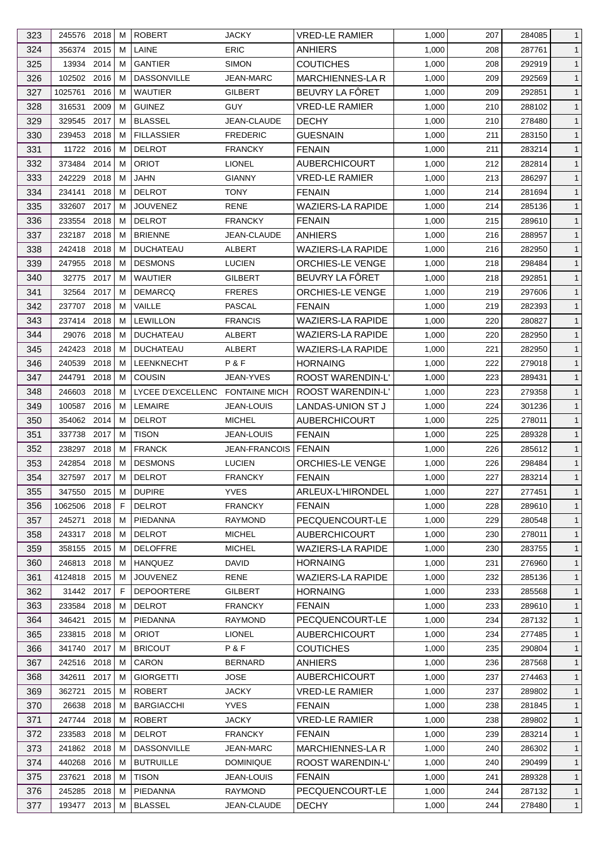| 323 | 245576 2018   |      | м  | <b>ROBERT</b>                   | <b>JACKY</b>         | VRED-LE RAMIER           | 1,000 | 207 | 284085 | $\mathbf{1}$ |
|-----|---------------|------|----|---------------------------------|----------------------|--------------------------|-------|-----|--------|--------------|
| 324 | 356374        | 2015 | м  | LAINE                           | <b>ERIC</b>          | <b>ANHIERS</b>           | 1,000 | 208 | 287761 | $\mathbf{1}$ |
| 325 | 13934         | 2014 | м  | <b>GANTIER</b>                  | <b>SIMON</b>         | <b>COUTICHES</b>         | 1,000 | 208 | 292919 | $\mathbf{1}$ |
| 326 | 102502 2016   |      | м  | <b>DASSONVILLE</b>              | <b>JEAN-MARC</b>     | <b>MARCHIENNES-LAR</b>   | 1,000 | 209 | 292569 | $\mathbf{1}$ |
| 327 | 1025761       | 2016 | M  | <b>WAUTIER</b>                  | GILBERT              | BEUVRY LA FÔRET          | 1,000 | 209 | 292851 | $\mathbf{1}$ |
| 328 | 316531        | 2009 | м  | <b>GUINEZ</b>                   | <b>GUY</b>           | <b>VRED-LE RAMIER</b>    | 1,000 | 210 | 288102 | $\mathbf{1}$ |
| 329 | 329545        | 2017 | м  | <b>BLASSEL</b>                  | JEAN-CLAUDE          | <b>DECHY</b>             | 1,000 | 210 | 278480 | $\mathbf{1}$ |
| 330 | 239453 2018   |      | м  | <b>FILLASSIER</b>               | <b>FREDERIC</b>      | <b>GUESNAIN</b>          | 1,000 | 211 | 283150 | $\mathbf{1}$ |
| 331 | 11722 2016    |      | м  | <b>DELROT</b>                   | <b>FRANCKY</b>       | <b>FENAIN</b>            | 1,000 | 211 | 283214 | $\mathbf{1}$ |
| 332 | 373484        | 2014 | м  | <b>ORIOT</b>                    | <b>LIONEL</b>        | <b>AUBERCHICOURT</b>     | 1,000 | 212 | 282814 | $\mathbf{1}$ |
| 333 | 242229        | 2018 | м  | JAHN                            | <b>GIANNY</b>        | <b>VRED-LE RAMIER</b>    | 1,000 | 213 | 286297 | $\mathbf{1}$ |
| 334 | 234141        | 2018 | м  | <b>DELROT</b>                   | TONY                 | <b>FENAIN</b>            | 1,000 | 214 | 281694 | $\mathbf{1}$ |
| 335 | 332607 2017   |      | м  | <b>JOUVENEZ</b>                 | RENE                 | WAZIERS-LA RAPIDE        | 1,000 | 214 | 285136 | $\mathbf{1}$ |
| 336 | 233554        | 2018 | м  | <b>DELROT</b>                   | <b>FRANCKY</b>       | <b>FENAIN</b>            | 1,000 | 215 | 289610 | $\mathbf{1}$ |
| 337 | 232187 2018   |      | м  | <b>BRIENNE</b>                  | <b>JEAN-CLAUDE</b>   | <b>ANHIERS</b>           | 1,000 | 216 | 288957 | $\mathbf{1}$ |
| 338 | 242418 2018   |      | м  | <b>DUCHATEAU</b>                | ALBERT               | WAZIERS-LA RAPIDE        | 1,000 | 216 | 282950 | $\mathbf{1}$ |
|     |               |      |    |                                 |                      |                          |       |     |        |              |
| 339 | 247955        | 2018 | м  | <b>DESMONS</b>                  | <b>LUCIEN</b>        | <b>ORCHIES-LE VENGE</b>  | 1,000 | 218 | 298484 | $\mathbf{1}$ |
| 340 | 32775 2017    |      | м  | <b>WAUTIER</b>                  | GILBERT              | BEUVRY LA FÔRET          | 1,000 | 218 | 292851 | $\mathbf{1}$ |
| 341 | 32564 2017    |      | м  | <b>DEMARCQ</b>                  | <b>FRERES</b>        | <b>ORCHIES-LE VENGE</b>  | 1,000 | 219 | 297606 | $\mathbf{1}$ |
| 342 | 237707        | 2018 | M  | VAILLE                          | PASCAL               | <b>FENAIN</b>            | 1,000 | 219 | 282393 | $\mathbf{1}$ |
| 343 | 237414 2018   |      | м  | <b>LEWILLON</b>                 | <b>FRANCIS</b>       | WAZIERS-LA RAPIDE        | 1,000 | 220 | 280827 | $\mathbf{1}$ |
| 344 | 29076         | 2018 | М  | <b>DUCHATEAU</b>                | <b>ALBERT</b>        | <b>WAZIERS-LA RAPIDE</b> | 1,000 | 220 | 282950 | $\mathbf{1}$ |
| 345 | 242423 2018   |      | м  | <b>DUCHATEAU</b>                | ALBERT               | <b>WAZIERS-LA RAPIDE</b> | 1,000 | 221 | 282950 | $\mathbf{1}$ |
| 346 | 240539        | 2018 | м  | LEENKNECHT                      | P&F                  | <b>HORNAING</b>          | 1,000 | 222 | 279018 | $\mathbf{1}$ |
| 347 | 244791        | 2018 | м  | COUSIN                          | JEAN-YVES            | <b>ROOST WARENDIN-L'</b> | 1,000 | 223 | 289431 | $\mathbf{1}$ |
| 348 | 246603        | 2018 | м  | LYCEE D'EXCELLENC FONTAINE MICH |                      | ROOST WARENDIN-L'        | 1,000 | 223 | 279358 | $\mathbf{1}$ |
| 349 | 100587 2016   |      | м  | <b>LEMAIRE</b>                  | <b>JEAN-LOUIS</b>    | LANDAS-UNION ST J        | 1,000 | 224 | 301236 | $\mathbf{1}$ |
| 350 | 354062 2014   |      | м  | <b>DELROT</b>                   | <b>MICHEL</b>        | <b>AUBERCHICOURT</b>     | 1,000 | 225 | 278011 | $\mathbf{1}$ |
| 351 | 337738        | 2017 | м  | <b>TISON</b>                    | <b>JEAN-LOUIS</b>    | <b>FENAIN</b>            | 1,000 | 225 | 289328 | $\mathbf{1}$ |
| 352 | 238297 2018   |      | м  | <b>FRANCK</b>                   | <b>JEAN-FRANCOIS</b> | <b>FENAIN</b>            | 1,000 | 226 | 285612 | $\mathbf{1}$ |
| 353 | 242854 2018   |      | M  | <b>DESMONS</b>                  | <b>LUCIEN</b>        | ORCHIES-LE VENGE         | 1,000 | 226 | 298484 | $\mathbf{1}$ |
| 354 | 327597 2017 M |      |    | <b>DELROT</b>                   | <b>FRANCKY</b>       | <b>FENAIN</b>            | 1,000 | 227 | 283214 | $\mathbf{1}$ |
| 355 | 347550 2015   |      | М  | <b>DUPIRE</b>                   | <b>YVES</b>          | ARLEUX-L'HIRONDEL        | 1,000 | 227 | 277451 | $\mathbf{1}$ |
| 356 | 1062506       | 2018 | F  | <b>DELROT</b>                   | <b>FRANCKY</b>       | <b>FENAIN</b>            | 1,000 | 228 | 289610 | $\mathbf{1}$ |
| 357 | 245271        | 2018 | м  | PIEDANNA                        | <b>RAYMOND</b>       | PECQUENCOURT-LE          | 1,000 | 229 | 280548 | $\mathbf{1}$ |
| 358 | 243317        | 2018 | м  | <b>DELROT</b>                   | <b>MICHEL</b>        | <b>AUBERCHICOURT</b>     | 1,000 | 230 | 278011 | $\mathbf{1}$ |
| 359 | 358155 2015   |      | м  | <b>DELOFFRE</b>                 | <b>MICHEL</b>        | <b>WAZIERS-LA RAPIDE</b> | 1,000 | 230 | 283755 | $\mathbf{1}$ |
| 360 |               |      |    |                                 | <b>DAVID</b>         | <b>HORNAING</b>          |       |     |        |              |
|     | 246813 2018   |      | м  | <b>HANQUEZ</b>                  |                      |                          | 1,000 | 231 | 276960 | $\mathbf{1}$ |
| 361 | 4124818 2015  |      | м  | <b>JOUVENEZ</b>                 | <b>RENE</b>          | <b>WAZIERS-LA RAPIDE</b> | 1,000 | 232 | 285136 | $\mathbf{1}$ |
| 362 | 31442 2017    |      | F. | <b>DEPOORTERE</b>               | <b>GILBERT</b>       | <b>HORNAING</b>          | 1,000 | 233 | 285568 | $\mathbf{1}$ |
| 363 | 233584 2018   |      | M  | <b>DELROT</b>                   | <b>FRANCKY</b>       | <b>FENAIN</b>            | 1,000 | 233 | 289610 | $\mathbf{1}$ |
| 364 | 346421        | 2015 | M  | PIEDANNA                        | <b>RAYMOND</b>       | PECQUENCOURT-LE          | 1,000 | 234 | 287132 | $\mathbf{1}$ |
| 365 | 233815 2018   |      | м  | <b>ORIOT</b>                    | <b>LIONEL</b>        | <b>AUBERCHICOURT</b>     | 1,000 | 234 | 277485 | $\mathbf{1}$ |
| 366 | 341740        | 2017 | м  | <b>BRICOUT</b>                  | P&F                  | <b>COUTICHES</b>         | 1,000 | 235 | 290804 | $\mathbf{1}$ |
| 367 | 242516 2018   |      | м  | CARON                           | <b>BERNARD</b>       | ANHIERS                  | 1,000 | 236 | 287568 | $\mathbf{1}$ |
| 368 | 342611        | 2017 | м  | <b>GIORGETTI</b>                | <b>JOSE</b>          | <b>AUBERCHICOURT</b>     | 1,000 | 237 | 274463 | $\mathbf{1}$ |
| 369 | 362721        | 2015 | м  | <b>ROBERT</b>                   | <b>JACKY</b>         | <b>VRED-LE RAMIER</b>    | 1,000 | 237 | 289802 | $\mathbf{1}$ |
| 370 | 26638         | 2018 | м  | <b>BARGIACCHI</b>               | <b>YVES</b>          | <b>FENAIN</b>            | 1,000 | 238 | 281845 | $\mathbf{1}$ |
| 371 | 247744 2018   |      | м  | <b>ROBERT</b>                   | <b>JACKY</b>         | <b>VRED-LE RAMIER</b>    | 1,000 | 238 | 289802 | $\mathbf{1}$ |
| 372 | 233583        | 2018 | M  | <b>DELROT</b>                   | <b>FRANCKY</b>       | <b>FENAIN</b>            | 1,000 | 239 | 283214 | $\mathbf{1}$ |
| 373 | 241862 2018   |      | м  | <b>DASSONVILLE</b>              | <b>JEAN-MARC</b>     | MARCHIENNES-LA R         | 1,000 | 240 | 286302 | $\mathbf{1}$ |
| 374 | 440268 2016   |      | м  | <b>BUTRUILLE</b>                | <b>DOMINIQUE</b>     | ROOST WARENDIN-L'        | 1,000 | 240 | 290499 | $\mathbf{1}$ |
| 375 | 237621        | 2018 | M  | <b>TISON</b>                    | JEAN-LOUIS           | <b>FENAIN</b>            | 1,000 | 241 | 289328 | $\mathbf{1}$ |
| 376 | 245285 2018   |      | м  | PIEDANNA                        | <b>RAYMOND</b>       | PECQUENCOURT-LE          | 1,000 | 244 | 287132 | $\mathbf{1}$ |
| 377 | 193477 2013   |      | M  | <b>BLASSEL</b>                  | JEAN-CLAUDE          | <b>DECHY</b>             | 1,000 | 244 | 278480 | $\mathbf{1}$ |